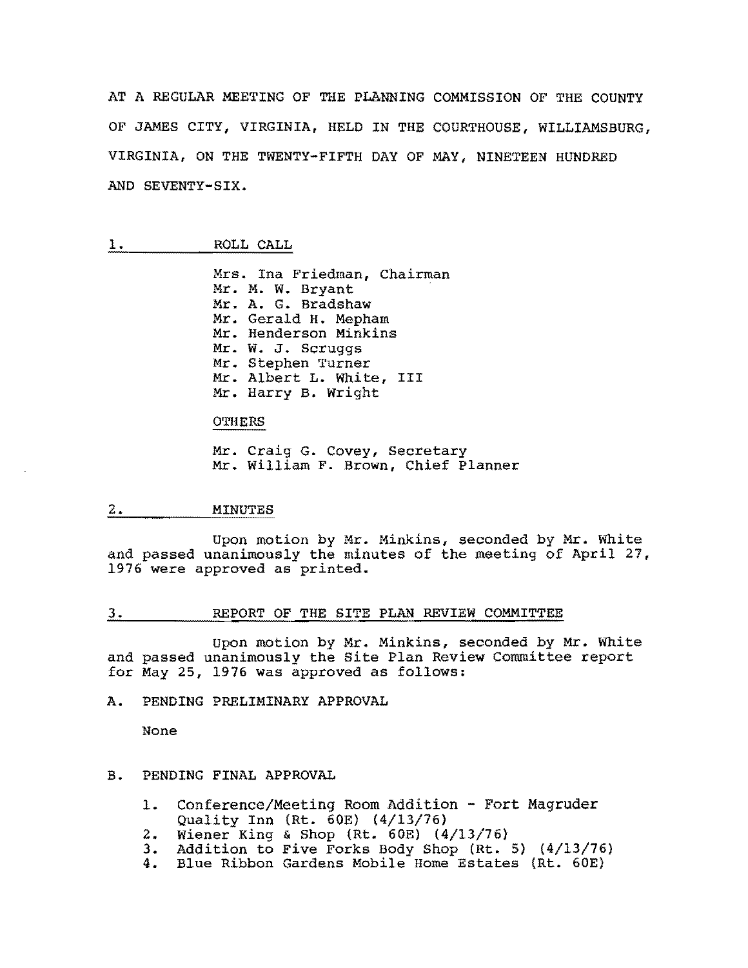AT A REGULAR MEETING OF THE PLANNING COMMISSION OF THE COUNTY OF JAMES CITY, VIRGINIA, HELD IN THE COURTHOUSE, WILLIAMSBURG, VIRGINIA, ON THE TWENTY-FIFTH DAY OF MAY, NINETEEN HUNDRED AND SEVENTY-SIX.

### 1. ROLL CALL

Mrs. Ina Friedman, Chairman Mr. M. W. Bryant Mr. A. G. Bradshaw Mr. Gerald H. Mepham Mr. Henderson Minkins Mr. W. J. Scruggs Mr. Stephen Turner Mr. Albert L. White, III Mr. Harry B. wright

### OTHERS

Mr. Craig G. Covey, Secretary Mr. William F. Brown, Chief Planner

#### 2. MINUTES

Upon motion by Mr. Minkins, seconded by Mr. White and passed unanimously the minutes of the meeting of April 27, 1976 were approved as printed.

### 3. REPORT OF THE SITE PLAN REVIEW COMMITTEE

Upon motion by Mr. Minkins, seconded by Mr. White and passed unanimously the Site Plan Review Committee report for May 25, 1976 was approved as follows:

### A. PENDING PRELIMINARY APPROVAL

None

# B. PENDING FINAL APPROVAL

- 1. Conference/Meeting Room Addition Fort Magruder Quality Inn (Rt. 60E) (4/13/76)
- 
- 2. Wiener King & Shop (Rt. 60E) (4/13/76)<br>3. Addition to Five Forks Body Shop (Rt. 3. Addition to Five Forks Body Shop (Rt. 5) (4/13/76)<br>4. Blue Ribbon Gardens Mobile Home Estates (Rt. 60E)
- Blue Ribbon Gardens Mobile Home Estates (Rt. 60E)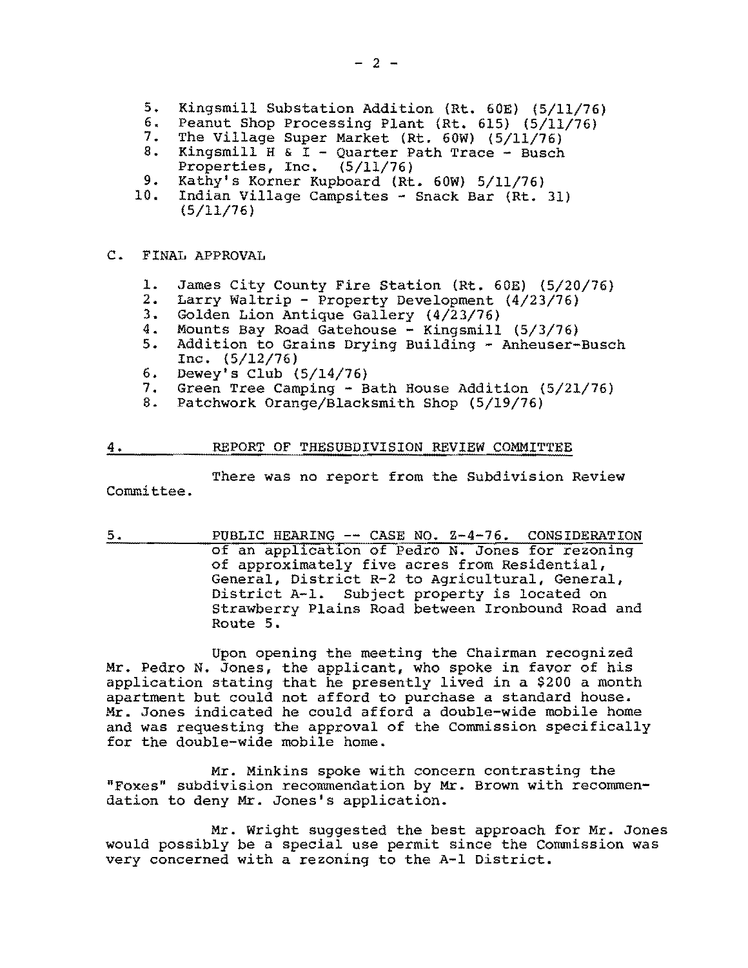- 5. Kingsmill Substation Addition (Rt. 60E) (5/11/76)<br>6. Peanut Shop Processing Plant (Rt. 615) (5/11/76)
- 6. Peanut Shop Processing Plant (Rt. 615) (5/11/76)<br>7. The Village Super Market (Rt. 60W) (5/11/76)
- 7. The Village Super Market (Rt.  $60W$ ) (5/11/76)<br>8. Kingsmill H & I Quarter Path Trace Busch
- Kingsmill H & I Quarter Path Trace Busch Properties, Inc. (5/11/76)
- 9. Kathy's Korner Kupboard (Rt. 60W) 5/11/76)<br>10. Indian Village Campsites Snack Bar (Rt.
- Indian Village Campsites Snack Bar (Rt. 31) (5/11/76)

# C. FINAL APPROVAL

- 1. James City County Fire Station (Rt. 60E) (5/20/76)<br>2. Larry Waltrip Property Development (4/23/76)
- 2. Larry Waltrip Property Development  $(4/23/76)$ <br>3. Golden Lion Antique Gallery  $(4/23/76)$
- 3. Golden Lion Antique Gallery (4/23/76)
- 4. Mounts Bay Road Gatehouse Kingsmill (5/3/76)
- 5. Addition to Grains Drying Building Anheuser-Busch Inc. (5/12/76)
- 6. Dewey's Club  $(5/14/76)$
- 7. Green Tree Camping Bath House Addition (5/21/76)<br>8. Patchwork Orange/Blacksmith Shop (5/19/76)
- Patchwork Orange/Blacksmith Shop (5/19/76)

# 4. REPORT OF THESUBDIVISION REVIEW COMMITTEE

There was no report from the Subdivision Review Committee.

5. PUBLIC HEARING -- CASE NO. 2-4-76. CONSIDERATION of an application of Pedro N. Jones for rezoning of approximately five acres from Residential, General, District R-2 to Agricultural, General, District A-I. Subject property *is* located on Strawberry Plains Road between Ironbound Road and Route 5.

Upon opening the meeting the Chairman recognized Mr. Pedro N. Jones, the applicant, who spoke in favor of his application stating that he presently lived in a \$200 a month apartment but could not afford to purchase a standard house. Mr. Jones indicated he could afford a double-wide mobile home and was requesting the approval of the Commission specifically for the double-wide mobile home.

Mr. Minkins spoke with concern contrasting the "Foxes" subdivision recommendation by Mr. Brown with recommendation to deny Mr. Jones's application.

Mr. Wright suggested the best approach for Mr. Jones would possibly be a special use permit since the Commission was very concerned with a rezoning to the A-I District.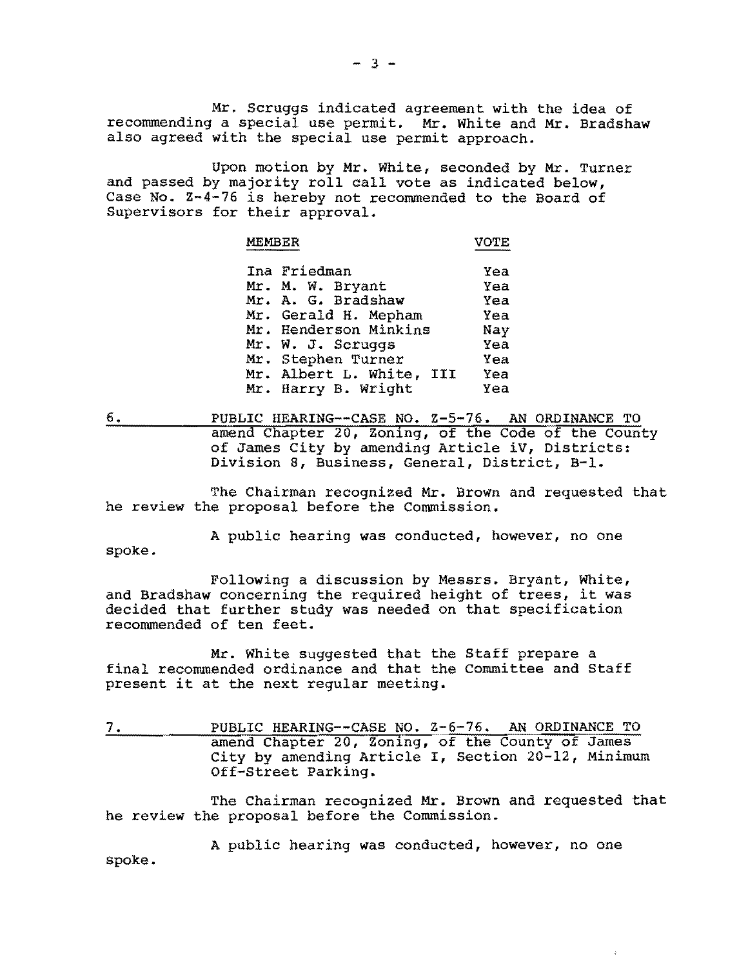Mr. Scruggs indicated agreement with the idea of recommending a special use permit. Mr. White and Mr. Bradshaw also agreed with the special use permit approach.

Upon motion by Mr. White, seconded by Mr. Turner and passed by majority roll call vote as indicated below, Case No. Z-4-76 is hereby not recommended to the Board of Supervisors for their approval.

| <b>MEMBER</b>                | <b>VOTE</b>       |
|------------------------------|-------------------|
| www.homme.com/www.hommer.com | --------<br>----- |
|                              |                   |

| Ina Friedman             | Yea |
|--------------------------|-----|
| Mr. M. W. Bryant         | Yea |
| Mr. A. G. Bradshaw       | Yea |
| Mr. Gerald H. Mepham     | Yea |
| Mr. Henderson Minkins    | Nay |
| Mr. W. J. Scruqqs        | Yea |
| Mr. Stephen Turner       | Yea |
| Mr. Albert L. White, III | Yea |
| Mr. Harry B. Wright      | Yea |

6. PUBLIC HEARING--CASE NO. Z-5-76. AN ORDINANCE TO amend Chapter 20, Zoning, of the Code of the County of James City by amending Article iV, Districts: Division 8, Business, General, District, B-1.

The Chairman recognized Mr. Brown and requested that he review the proposal before the Commission.

A public hearing was conducted, however, no one spoke.

Following a discussion by Messrs. Bryant, White, and Bradshaw concerning the required height of trees, it was decided that further study was needed on that specification recommended of ten feet.

Mr. White suggested that the Staff prepare a final recommended ordinance and that the Committee and Staff present it at the next regular meeting.

7. PUBLIC HEARING--CASE NO. 2-6-76. AN ORDINANCE TO amend Chapter 20, Zoning, of the County of James City by amending Article I, Section 20-12, Minimum Off-Street Parking.

The Chairman recognized Mr. Brown and requested that he review the proposal before the Commission.

A public hearing was conducted, however, no one spoke.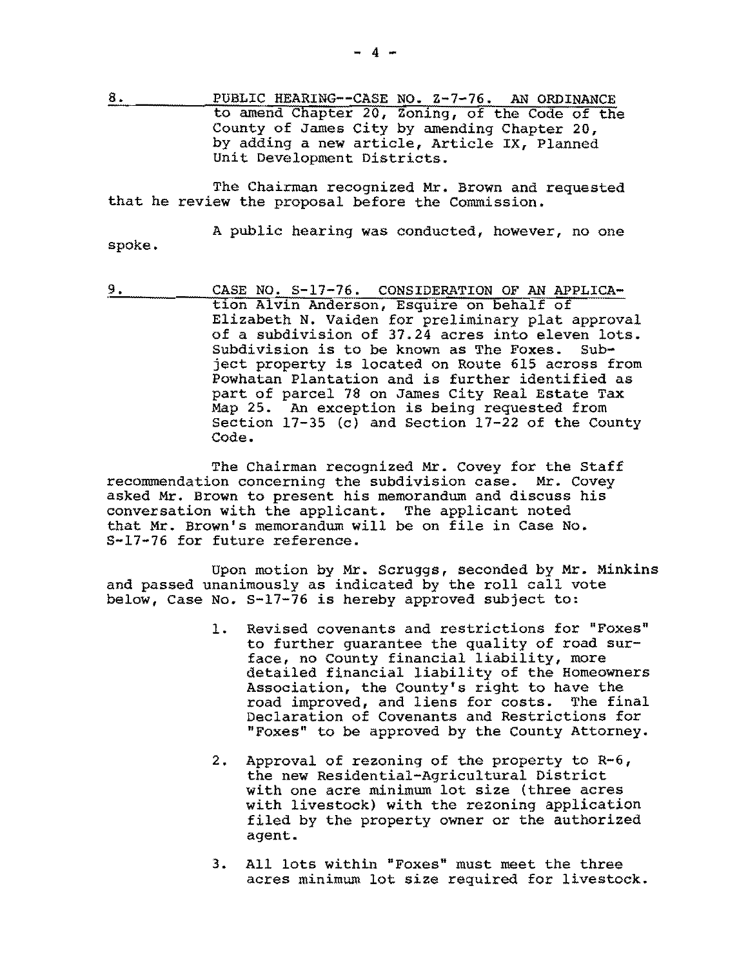8. PUBLIC HEARING--CASE NO. 2-7-76. AN ORDINANCE to amend Chapter 20, Zoning, of the Code of the County of James City by amending Chapter 20, by adding a new article, Article IX, Planned Unit Development Districts.

The Chairman recognized Mr. Brown and requested that he review the proposal before the Commission.

A public hearing was conducted, however, no one spoke.

9. CASE NO. S-17-76. CONSIDERATION OF AN APPLICAtion Alvin Anderson, Esquire on behalf of Elizabeth N. Vaiden for preliminary plat approval of a subdivision of  $37.24$  acres into eleven lots.<br>Subdivision is to be known as The Foxes. Sub-Subdivision is to be known as The Foxes. ject property is located on Route 615 across from Powhatan Plantation and is further identified as part of parcel 78 on James City Real Estate Tax Map 25. An exception is being requested from Section  $17-35$  (c) and Section  $17-22$  of the County Code.

The Chairman recognized Mr. Covey for the Staff recommendation concerning the subdivision case. Mr. Covey asked Mr. Brown to present his memorandum and discuss his conversation with the applicant. The applicant noted that Mr. Brown's memorandum will be on file in Case No. S-17-76 for future reference.

Upon motion by Mr. Scruggs, seconded by Mr. Minkins and passed unanimously as indicated by the roll call vote below, Case No. S-17-76 is hereby approved subject to:

- 1. Revised covenants and restrictions for "Foxes" to further guarantee the quality of road surface, no County financial liability, more detailed financial liability of the Homeowners Association, the County's right to have the road improved, and liens for costs. The final Declaration of Covenants and Restrictions for "Foxes" to be approved by the County Attorney.
- 2. Approval of rezoning of the property to R-6, the new Residential-Agricultural District with one acre minimum lot size (three acres with livestock) with the rezoning application filed by the property owner or the authorized agent.
- 3. All lots within "Foxes" must meet the three acres minimum lot size required for livestock.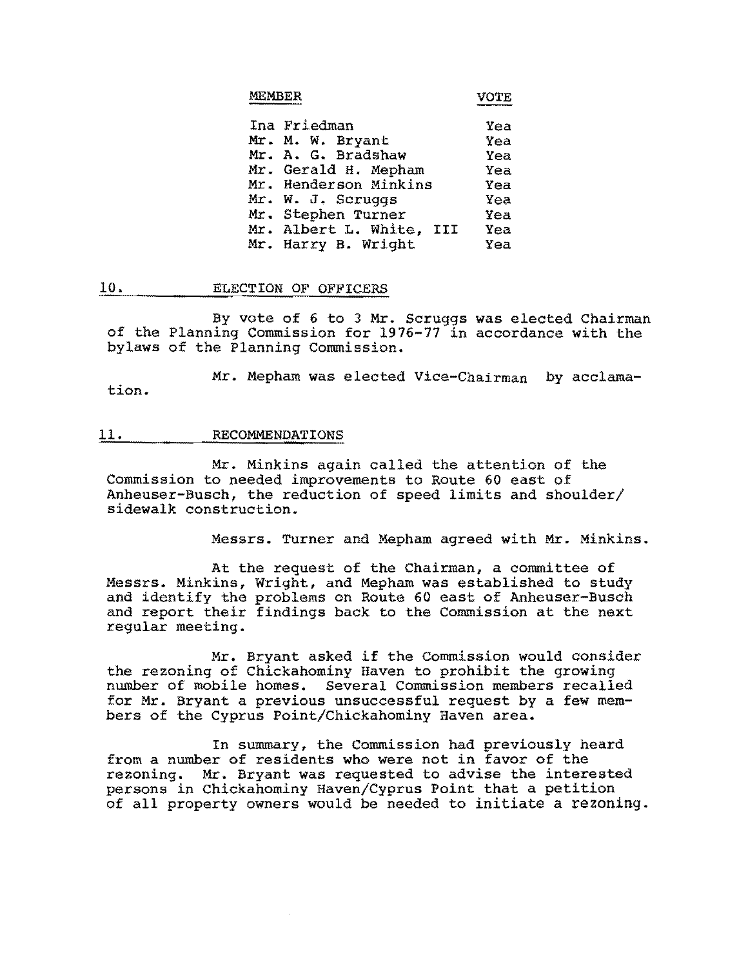|  | MEMBER |  |  |  |
|--|--------|--|--|--|
|--|--------|--|--|--|

R VOTE

| Ina Friedman             | Yea |
|--------------------------|-----|
| Mr. M. W. Bryant         | Yea |
| Mr. A. G. Bradshaw       | Yea |
| Mr. Gerald H. Mepham     | Yea |
| Mr. Henderson Minkins    | Yea |
| Mr. W. J. Scruggs        | Yea |
| Mr. Stephen Turner       | Yea |
| Mr. Albert L. White, III | Yea |
| Mr. Harry B. Wright      | Yea |

### 10. ELECTION OF OFFICERS

By vote of 6 to 3 Mr. Scruggs was elected Chairman of the Planning Commission for 1976-77 in accordance with the bylaws of the Planning Commission.

Mr. Mepham was elected Vice-Chairman by acclamation.

#### 11. RECOMMENDATIONS

Mr. Minkins again called the attention of the Commission to needed improvements to Route 60 east of Anheuser-Busch, the reduction of speed limits and shoulder/ sidewalk construction.

Messrs. Turner and Mepham agreed with Mr. Minkins.

At the request of the Chairman, a committee of Messrs. Minkins, Wright, and Mepham was established to study and identify the problems on Route 60 east of Anheuser-Busch and report their findings back to the Commission at the next regular meeting.

Mr. Bryant asked if the Commission would consider the rezoning of Chickahominy Haven to prohibit the growing number of mobile homes. Several Commission members recalled for Mr. Bryant a previous unsuccessful request by a few members of the Cyprus Point/Chickahominy Haven area.

In summary, the Commission had previously heard from a number of residents who were not in favor of the rezoning. Mr. Bryant was requested to advise the interested persons in Chickahominy Haven/Cyprus Point that a petition of all property owners would be needed to initiate a rezoning.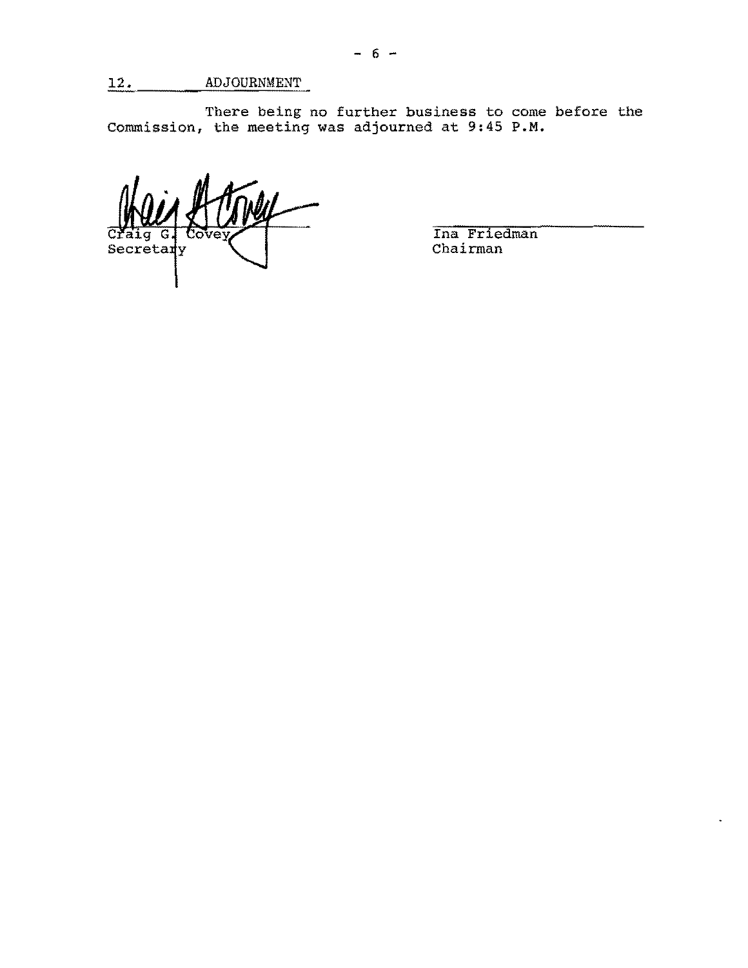There being no further business to come before the Commission, the meeting was adjourned at 9:45 **P.M.** 

 $\overline{C}$ Secretary

Ina Friedman Chairman